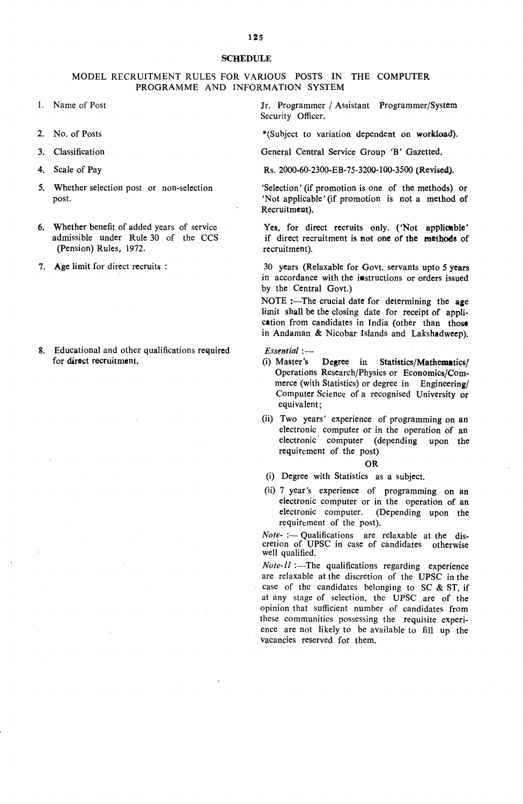## **SCHEDULE**

## MODEL RECRUITMENT RULES FOR VARIOUS POSTS IN THE COMPUTER PROGRAMME AND INFORMATION SYSTEM

- 1. Name of Post
- 2. No. of Posts
- $3<sub>1</sub>$ Classification
- $4.$ Scale of Pav
- 5. Whether selection post or non-selection post.
- 6. Whether benefit of added years of service admissible under Rule 30 of the CCS (Pension) Rules, 1972.
- 7. Age limit for direct recruits :
- 8. Educational and other qualifications required for direct recruitment.

Jr. Programmer / Assistant Programmer/System Security Officer.

\*(Subject to variation dependent on workload).

General Central Service Group 'B' Gazetted.

Rs. 2000-60-2300-EB-75-3200-100-3500 (Revised).

'Selection' (if promotion is one of the methods) or 'Not applicable' (if promotion is not a method of Recruitment).

Yes, for direct recruits only. ('Not applicable' if direct recruitment is not one of the methods of recruitment).

30 years (Relaxable for Govt. servants upto 5 years in accordance with the iastructions or orders issued by the Central Govt.)

NOTE :- The crucial date for determining the age limit shall be the closing date for receipt of application from candidates in India (other than those in Andaman & Nicobar Islands and Lakshadweep).

*Essential :-*

- (i) Master's Degree in Statistics/Mathematics/ Operations Research/Physics or Economics/Commerce (with Statistics) or degree in Engineering/ Computer Science of a recognised University or equivalent;
- (ii) Two years' experience of programming on an electronic computer or in the operation of an electronic computer (depending upon the requirement of the post)

OR

(i) Degree with Statistics as a subject.

(ii) 7 year's experience of programming on an electronic computer or in the operation of an electronic computer. (Depending upon the requirement of the post).

*Note- :-* Qualifications are relaxable at the discretion of UPSC in case of candidates otherwise well qualified.

 $Note-II$  :-The qualifications regarding experience are relaxable at the discretion of the UPSC in the case of the candidates belonging to SC & ST, if at any stage of selection, the UPSC are of the opinion that sufficient number of candidates from these communities possessing the requisite experience are not likely to be available to fill up the vacancies reserved for them.